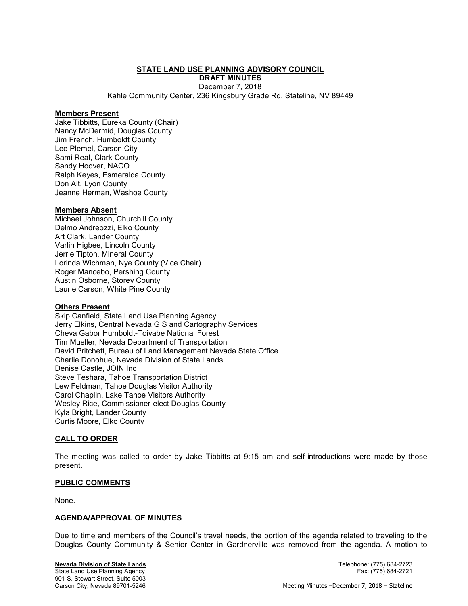## STATE LAND USE PLANNING ADVISORY COUNCIL

DRAFT MINUTES December 7, 2018

Kahle Community Center, 236 Kingsbury Grade Rd, Stateline, NV 89449

#### Members Present

Jake Tibbitts, Eureka County (Chair) Nancy McDermid, Douglas County Jim French, Humboldt County Lee Plemel, Carson City Sami Real, Clark County Sandy Hoover, NACO Ralph Keyes, Esmeralda County Don Alt, Lyon County Jeanne Herman, Washoe County

## Members Absent

Michael Johnson, Churchill County Delmo Andreozzi, Elko County Art Clark, Lander County Varlin Higbee, Lincoln County Jerrie Tipton, Mineral County Lorinda Wichman, Nye County (Vice Chair) Roger Mancebo, Pershing County Austin Osborne, Storey County Laurie Carson, White Pine County

## Others Present

Skip Canfield, State Land Use Planning Agency Jerry Elkins, Central Nevada GIS and Cartography Services Cheva Gabor Humboldt-Toiyabe National Forest Tim Mueller, Nevada Department of Transportation David Pritchett, Bureau of Land Management Nevada State Office Charlie Donohue, Nevada Division of State Lands Denise Castle, JOIN Inc Steve Teshara, Tahoe Transportation District Lew Feldman, Tahoe Douglas Visitor Authority Carol Chaplin, Lake Tahoe Visitors Authority Wesley Rice, Commissioner-elect Douglas County Kyla Bright, Lander County Curtis Moore, Elko County

## CALL TO ORDER

The meeting was called to order by Jake Tibbitts at 9:15 am and self-introductions were made by those present.

## PUBLIC COMMENTS

None.

## AGENDA/APPROVAL OF MINUTES

Due to time and members of the Council's travel needs, the portion of the agenda related to traveling to the Douglas County Community & Senior Center in Gardnerville was removed from the agenda. A motion to

State Land Use Planning Agency 901 S. Stewart Street, Suite 5003

Nevada Division of State Lands Telephone: (775) 684-2723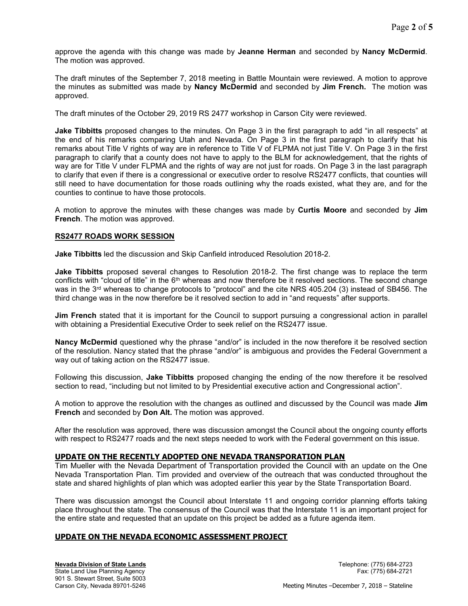approve the agenda with this change was made by Jeanne Herman and seconded by Nancy McDermid. The motion was approved.

The draft minutes of the September 7, 2018 meeting in Battle Mountain were reviewed. A motion to approve the minutes as submitted was made by **Nancy McDermid** and seconded by **Jim French.** The motion was approved.

The draft minutes of the October 29, 2019 RS 2477 workshop in Carson City were reviewed.

**Jake Tibbitts** proposed changes to the minutes. On Page 3 in the first paragraph to add "in all respects" at the end of his remarks comparing Utah and Nevada. On Page 3 in the first paragraph to clarify that his remarks about Title V rights of way are in reference to Title V of FLPMA not just Title V. On Page 3 in the first paragraph to clarify that a county does not have to apply to the BLM for acknowledgement, that the rights of way are for Title V under FLPMA and the rights of way are not just for roads. On Page 3 in the last paragraph to clarify that even if there is a congressional or executive order to resolve RS2477 conflicts, that counties will still need to have documentation for those roads outlining why the roads existed, what they are, and for the counties to continue to have those protocols.

A motion to approve the minutes with these changes was made by Curtis Moore and seconded by Jim French. The motion was approved.

## RS2477 ROADS WORK SESSION

Jake Tibbitts led the discussion and Skip Canfield introduced Resolution 2018-2.

**Jake Tibbitts** proposed several changes to Resolution 2018-2. The first change was to replace the term conflicts with "cloud of title" in the 6<sup>th</sup> whereas and now therefore be it resolved sections. The second change was in the 3<sup>rd</sup> whereas to change protocols to "protocol" and the cite NRS 405.204 (3) instead of SB456. The third change was in the now therefore be it resolved section to add in "and requests" after supports.

Jim French stated that it is important for the Council to support pursuing a congressional action in parallel with obtaining a Presidential Executive Order to seek relief on the RS2477 issue.

Nancy McDermid questioned why the phrase "and/or" is included in the now therefore it be resolved section of the resolution. Nancy stated that the phrase "and/or" is ambiguous and provides the Federal Government a way out of taking action on the RS2477 issue.

Following this discussion, **Jake Tibbitts** proposed changing the ending of the now therefore it be resolved section to read, "including but not limited to by Presidential executive action and Congressional action".

A motion to approve the resolution with the changes as outlined and discussed by the Council was made **Jim** French and seconded by Don Alt. The motion was approved.

After the resolution was approved, there was discussion amongst the Council about the ongoing county efforts with respect to RS2477 roads and the next steps needed to work with the Federal government on this issue.

# UPDATE ON THE RECENTLY ADOPTED ONE NEVADA TRANSPORATION PLAN

Tim Mueller with the Nevada Department of Transportation provided the Council with an update on the One Nevada Transportation Plan. Tim provided and overview of the outreach that was conducted throughout the state and shared highlights of plan which was adopted earlier this year by the State Transportation Board.

There was discussion amongst the Council about Interstate 11 and ongoing corridor planning efforts taking place throughout the state. The consensus of the Council was that the Interstate 11 is an important project for the entire state and requested that an update on this project be added as a future agenda item.

# UPDATE ON THE NEVADA ECONOMIC ASSESSMENT PROJECT

Nevada Division of State Lands **Nevada Division of State Lands** Telephone: (775) 684-2723 State Land Use Planning Agency Fax: (775) 684-2721 901 S. Stewart Street, Suite 5003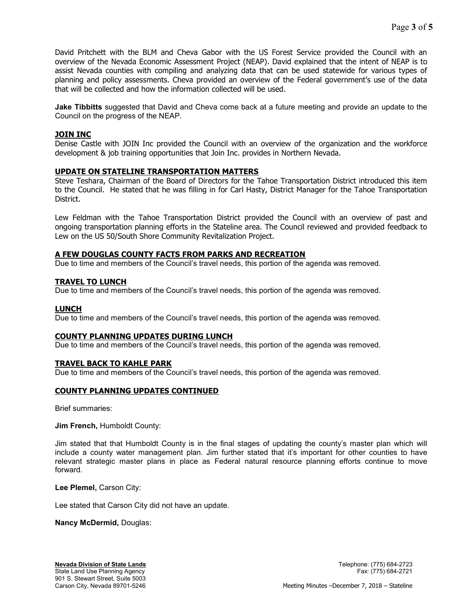David Pritchett with the BLM and Cheva Gabor with the US Forest Service provided the Council with an overview of the Nevada Economic Assessment Project (NEAP). David explained that the intent of NEAP is to assist Nevada counties with compiling and analyzing data that can be used statewide for various types of planning and policy assessments. Cheva provided an overview of the Federal government's use of the data that will be collected and how the information collected will be used.

**Jake Tibbitts** suggested that David and Cheva come back at a future meeting and provide an update to the Council on the progress of the NEAP.

# JOIN INC

Denise Castle with JOIN Inc provided the Council with an overview of the organization and the workforce development & job training opportunities that Join Inc. provides in Northern Nevada.

## UPDATE ON STATELINE TRANSPORTATION MATTERS

Steve Teshara, Chairman of the Board of Directors for the Tahoe Transportation District introduced this item to the Council. He stated that he was filling in for Carl Hasty, District Manager for the Tahoe Transportation District.

Lew Feldman with the Tahoe Transportation District provided the Council with an overview of past and ongoing transportation planning efforts in the Stateline area. The Council reviewed and provided feedback to Lew on the US 50/South Shore Community Revitalization Project.

# A FEW DOUGLAS COUNTY FACTS FROM PARKS AND RECREATION

Due to time and members of the Council's travel needs, this portion of the agenda was removed.

## TRAVEL TO LUNCH

Due to time and members of the Council's travel needs, this portion of the agenda was removed.

## LUNCH

Due to time and members of the Council's travel needs, this portion of the agenda was removed.

## COUNTY PLANNING UPDATES DURING LUNCH

Due to time and members of the Council's travel needs, this portion of the agenda was removed.

## TRAVEL BACK TO KAHLE PARK

Due to time and members of the Council's travel needs, this portion of the agenda was removed.

## COUNTY PLANNING UPDATES CONTINUED

Brief summaries:

Jim French, Humboldt County:

Jim stated that that Humboldt County is in the final stages of updating the county's master plan which will include a county water management plan. Jim further stated that it's important for other counties to have relevant strategic master plans in place as Federal natural resource planning efforts continue to move forward.

Lee Plemel, Carson City:

Lee stated that Carson City did not have an update.

## Nancy McDermid, Douglas: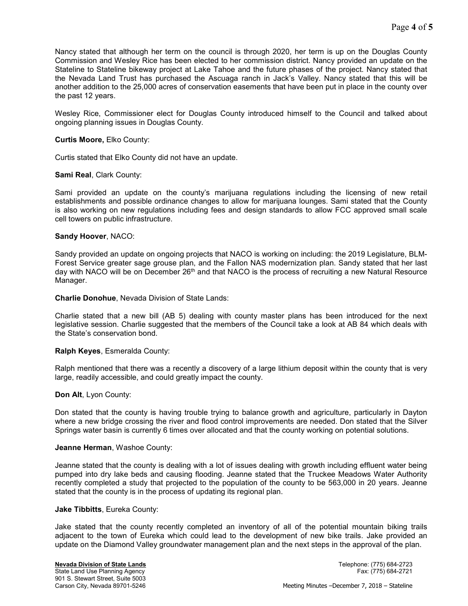Nancy stated that although her term on the council is through 2020, her term is up on the Douglas County Commission and Wesley Rice has been elected to her commission district. Nancy provided an update on the Stateline to Stateline bikeway project at Lake Tahoe and the future phases of the project. Nancy stated that the Nevada Land Trust has purchased the Ascuaga ranch in Jack's Valley. Nancy stated that this will be another addition to the 25,000 acres of conservation easements that have been put in place in the county over the past 12 years.

Wesley Rice, Commissioner elect for Douglas County introduced himself to the Council and talked about ongoing planning issues in Douglas County.

#### Curtis Moore, Elko County:

Curtis stated that Elko County did not have an update.

#### Sami Real, Clark County:

Sami provided an update on the county's marijuana regulations including the licensing of new retail establishments and possible ordinance changes to allow for marijuana lounges. Sami stated that the County is also working on new regulations including fees and design standards to allow FCC approved small scale cell towers on public infrastructure.

#### Sandy Hoover, NACO:

Sandy provided an update on ongoing projects that NACO is working on including: the 2019 Legislature, BLM-Forest Service greater sage grouse plan, and the Fallon NAS modernization plan. Sandy stated that her last day with NACO will be on December 26<sup>th</sup> and that NACO is the process of recruiting a new Natural Resource Manager.

#### Charlie Donohue, Nevada Division of State Lands:

Charlie stated that a new bill (AB 5) dealing with county master plans has been introduced for the next legislative session. Charlie suggested that the members of the Council take a look at AB 84 which deals with the State's conservation bond.

## Ralph Keyes, Esmeralda County:

Ralph mentioned that there was a recently a discovery of a large lithium deposit within the county that is very large, readily accessible, and could greatly impact the county.

#### Don Alt, Lyon County:

Don stated that the county is having trouble trying to balance growth and agriculture, particularly in Dayton where a new bridge crossing the river and flood control improvements are needed. Don stated that the Silver Springs water basin is currently 6 times over allocated and that the county working on potential solutions.

#### Jeanne Herman, Washoe County:

Jeanne stated that the county is dealing with a lot of issues dealing with growth including effluent water being pumped into dry lake beds and causing flooding. Jeanne stated that the Truckee Meadows Water Authority recently completed a study that projected to the population of the county to be 563,000 in 20 years. Jeanne stated that the county is in the process of updating its regional plan.

#### Jake Tibbitts, Eureka County:

Jake stated that the county recently completed an inventory of all of the potential mountain biking trails adjacent to the town of Eureka which could lead to the development of new bike trails. Jake provided an update on the Diamond Valley groundwater management plan and the next steps in the approval of the plan.

State Land Use Planning Agency 901 S. Stewart Street, Suite 5003

Nevada Division of State Lands Telephone: (775) 684-2723